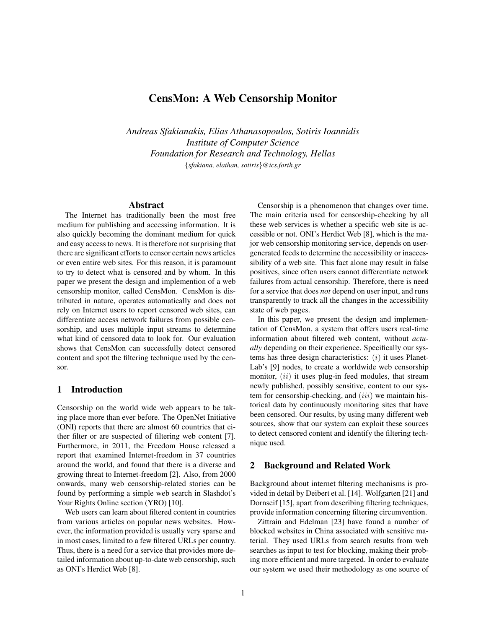# **CensMon: A Web Censorship Monitor**

*Andreas Sfakianakis, Elias Athanasopoulos, Sotiris Ioannidis Institute of Computer Science Foundation for Research and Technology, Hellas* {*sfakiana, elathan, sotiris*}*@ics.forth.gr*

### **Abstract**

The Internet has traditionally been the most free medium for publishing and accessing information. It is also quickly becoming the dominant medium for quick and easy access to news. It is therefore not surprising that there are significant efforts to censor certain news articles or even entire web sites. For this reason, it is paramount to try to detect what is censored and by whom. In this paper we present the design and implemention of a web censorship monitor, called CensMon. CensMon is distributed in nature, operates automatically and does not rely on Internet users to report censored web sites, can differentiate access network failures from possible censorship, and uses multiple input streams to determine what kind of censored data to look for. Our evaluation shows that CensMon can successfully detect censored content and spot the filtering technique used by the censor.

#### **1 Introduction**

Censorship on the world wide web appears to be taking place more than ever before. The OpenNet Initiative (ONI) reports that there are almost 60 countries that either filter or are suspected of filtering web content [7]. Furthermore, in 2011, the Freedom House released a report that examined Internet-freedom in 37 countries around the world, and found that there is a diverse and growing threat to Internet-freedom [2]. Also, from 2000 onwards, many web censorship-related stories can be found by performing a simple web search in Slashdot's Your Rights Online section (YRO) [10].

Web users can learn about filtered content in countries from various articles on popular news websites. However, the information provided is usually very sparse and in most cases, limited to a few filtered URLs per country. Thus, there is a need for a service that provides more detailed information about up-to-date web censorship, such as ONI's Herdict Web [8].

Censorship is a phenomenon that changes over time. The main criteria used for censorship-checking by all these web services is whether a specific web site is accessible or not. ONI's Herdict Web [8], which is the major web censorship monitoring service, depends on usergenerated feeds to determine the accessibility or inaccessibility of a web site. This fact alone may result in false positives, since often users cannot differentiate network failures from actual censorship. Therefore, there is need for a service that does *not* depend on user input, and runs transparently to track all the changes in the accessibility state of web pages.

In this paper, we present the design and implementation of CensMon, a system that offers users real-time information about filtered web content, without *actually* depending on their experience. Specifically our systems has three design characteristics:  $(i)$  it uses Planet-Lab's [9] nodes, to create a worldwide web censorship monitor,  $(ii)$  it uses plug-in feed modules, that stream newly published, possibly sensitive, content to our system for censorship-checking, and  $(iii)$  we maintain historical data by continuously monitoring sites that have been censored. Our results, by using many different web sources, show that our system can exploit these sources to detect censored content and identify the filtering technique used.

#### **2 Background and Related Work**

Background about internet filtering mechanisms is provided in detail by Deibert et al. [14]. Wolfgarten [21] and Dornseif [15], apart from describing filtering techniques, provide information concerning filtering circumvention.

Zittrain and Edelman [23] have found a number of blocked websites in China associated with sensitive material. They used URLs from search results from web searches as input to test for blocking, making their probing more efficient and more targeted. In order to evaluate our system we used their methodology as one source of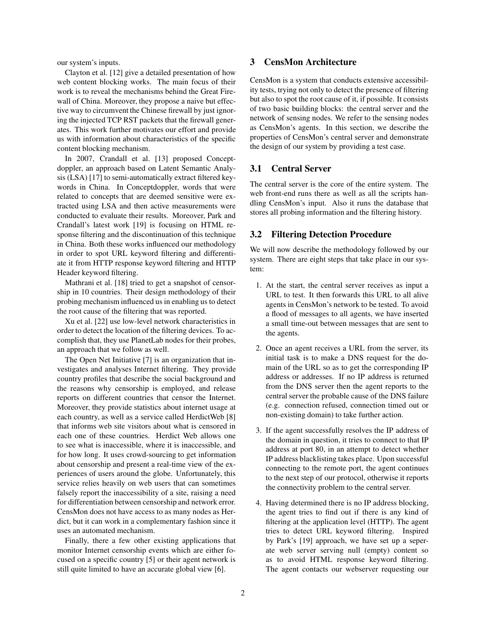our system's inputs.

Clayton et al. [12] give a detailed presentation of how web content blocking works. The main focus of their work is to reveal the mechanisms behind the Great Firewall of China. Moreover, they propose a naive but effective way to circumvent the Chinese firewall by just ignoring the injected TCP RST packets that the firewall generates. This work further motivates our effort and provide us with information about characteristics of the specific content blocking mechanism.

In 2007, Crandall et al. [13] proposed Conceptdoppler, an approach based on Latent Semantic Analysis (LSA) [17] to semi-automatically extract filtered keywords in China. In Conceptdoppler, words that were related to concepts that are deemed sensitive were extracted using LSA and then active measurements were conducted to evaluate their results. Moreover, Park and Crandall's latest work [19] is focusing on HTML response filtering and the discontinuation of this technique in China. Both these works influenced our methodology in order to spot URL keyword filtering and differentiate it from HTTP response keyword filtering and HTTP Header keyword filtering.

Mathrani et al. [18] tried to get a snapshot of censorship in 10 countries. Their design methodology of their probing mechanism influenced us in enabling us to detect the root cause of the filtering that was reported.

Xu et al. [22] use low-level network characteristics in order to detect the location of the filtering devices. To accomplish that, they use PlanetLab nodes for their probes, an approach that we follow as well.

The Open Net Initiative [7] is an organization that investigates and analyses Internet filtering. They provide country profiles that describe the social background and the reasons why censorship is employed, and release reports on different countries that censor the Internet. Moreover, they provide statistics about internet usage at each country, as well as a service called HerdictWeb [8] that informs web site visitors about what is censored in each one of these countries. Herdict Web allows one to see what is inaccessible, where it is inaccessible, and for how long. It uses crowd-sourcing to get information about censorship and present a real-time view of the experiences of users around the globe. Unfortunately, this service relies heavily on web users that can sometimes falsely report the inaccessibility of a site, raising a need for differentiation between censorship and network error. CensMon does not have access to as many nodes as Herdict, but it can work in a complementary fashion since it uses an automated mechanism.

Finally, there a few other existing applications that monitor Internet censorship events which are either focused on a specific country [5] or their agent network is still quite limited to have an accurate global view [6].

## **3 CensMon Architecture**

CensMon is a system that conducts extensive accessibility tests, trying not only to detect the presence of filtering but also to spot the root cause of it, if possible. It consists of two basic building blocks: the central server and the network of sensing nodes. We refer to the sensing nodes as CensMon's agents. In this section, we describe the properties of CensMon's central server and demonstrate the design of our system by providing a test case.

## **3.1 Central Server**

The central server is the core of the entire system. The web front-end runs there as well as all the scripts handling CensMon's input. Also it runs the database that stores all probing information and the filtering history.

### **3.2 Filtering Detection Procedure**

We will now describe the methodology followed by our system. There are eight steps that take place in our system:

- 1. At the start, the central server receives as input a URL to test. It then forwards this URL to all alive agents in CensMon's network to be tested. To avoid a flood of messages to all agents, we have inserted a small time-out between messages that are sent to the agents.
- 2. Once an agent receives a URL from the server, its initial task is to make a DNS request for the domain of the URL so as to get the corresponding IP address or addresses. If no IP address is returned from the DNS server then the agent reports to the central server the probable cause of the DNS failure (e.g. connection refused, connection timed out or non-existing domain) to take further action.
- 3. If the agent successfully resolves the IP address of the domain in question, it tries to connect to that IP address at port 80, in an attempt to detect whether IP address blacklisting takes place. Upon successful connecting to the remote port, the agent continues to the next step of our protocol, otherwise it reports the connectivity problem to the central server.
- 4. Having determined there is no IP address blocking, the agent tries to find out if there is any kind of filtering at the application level (HTTP). The agent tries to detect URL keyword filtering. Inspired by Park's [19] approach, we have set up a seperate web server serving null (empty) content so as to avoid HTML response keyword filtering. The agent contacts our webserver requesting our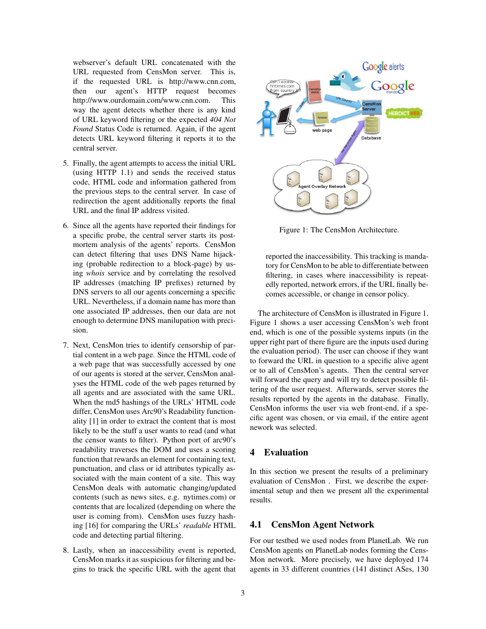webserver's default URL concatenated with the URL requested from CensMon server. This is, if the requested URL is http://www.cnn.com, then our agent's HTTP request becomes http://www.ourdomain.com/www.cnn.com. This way the agent detects whether there is any kind of URL keyword filtering or the expected *404 Not Found* Status Code is returned. Again, if the agent detects URL keyword filtering it reports it to the central server.

- 5. Finally, the agent attempts to access the initial URL (using HTTP 1.1) and sends the received status code, HTML code and information gathered from the previous steps to the central server. In case of redirection the agent additionally reports the final URL and the final IP address visited.
- 6. Since all the agents have reported their findings for a specific probe, the central server starts its postmortem analysis of the agents' reports. CensMon can detect filtering that uses DNS Name hijacking (probable redirection to a block-page) by using *whois* service and by correlating the resolved IP addresses (matching IP prefixes) returned by DNS servers to all our agents concerning a specific URL. Nevertheless, if a domain name has more than one associated IP addresses, then our data are not enough to determine DNS manilupation with precision.
- 7. Next, CensMon tries to identify censorship of partial content in a web page. Since the HTML code of a web page that was successfully accessed by one of our agents is stored at the server, CensMon analyses the HTML code of the web pages returned by all agents and are associated with the same URL. When the md5 hashings of the URLs' HTML code differ, CensMon uses Arc90's Readability functionality [1] in order to extract the content that is most likely to be the stuff a user wants to read (and what the censor wants to filter). Python port of arc90's readability traverses the DOM and uses a scoring function that rewards an element for containing text, punctuation, and class or id attributes typically associated with the main content of a site. This way CensMon deals with automatic changing/updated contents (such as news sites, e.g. nytimes.com) or contents that are localized (depending on where the user is coming from). CensMon uses fuzzy hashing [16] for comparing the URLs' *readable* HTML code and detecting partial filtering.
- 8. Lastly, when an inaccessibility event is reported, CensMon marks it as suspicious for filtering and begins to track the specific URL with the agent that



Figure 1: The CensMon Architecture.

reported the inaccessibility. This tracking is mandatory for CensMon to be able to differentiate between filtering, in cases where inaccessibility is repeatedly reported, network errors, if the URL finally becomes accessible, or change in censor policy.

The architecture of CensMon is illustrated in Figure 1. Figure 1 shows a user accessing CensMon's web front end, which is one of the possible systems inputs (in the upper right part of there figure are the inputs used during the evaluation period). The user can choose if they want to forward the URL in question to a specific alive agent or to all of CensMon's agents. Then the central server will forward the query and will try to detect possible filtering of the user request. Afterwards, server stores the results reported by the agents in the database. Finally, CensMon informs the user via web front-end, if a specific agent was chosen, or via email, if the entire agent nework was selected.

## **4 Evaluation**

In this section we present the results of a preliminary evaluation of CensMon . First, we describe the experimental setup and then we present all the experimental results.

## **4.1 CensMon Agent Network**

For our testbed we used nodes from PlanetLab. We run CensMon agents on PlanetLab nodes forming the Cens-Mon network. More precisely, we have deployed 174 agents in 33 different countries (141 distinct ASes, 130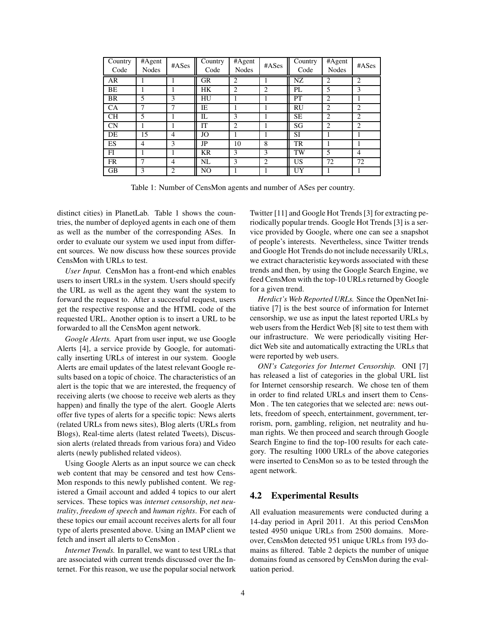| Country<br>Code | #Agent<br><b>Nodes</b> | #ASes          | Country<br>Code | #Agent<br><b>Nodes</b> | #ASes | Country<br>Code | #Agent<br>Nodes | #ASes          |
|-----------------|------------------------|----------------|-----------------|------------------------|-------|-----------------|-----------------|----------------|
| AR              |                        |                | <b>GR</b>       | 2                      |       | NZ              | $\overline{2}$  | $\overline{2}$ |
| BΕ              |                        |                | HК              | 2                      | 2     | PL              | 5               | 3              |
| <b>BR</b>       | 5                      | 3              | HU              |                        |       | PT              | $\overline{2}$  |                |
| CA              | 7                      | −              | IΕ              |                        |       | <b>RU</b>       | $\overline{2}$  | $\overline{2}$ |
| <b>CH</b>       | 5                      |                | IL              | 3                      |       | <b>SE</b>       | $\overline{2}$  | $\overline{2}$ |
| CN              |                        |                | IT              | 2                      |       | SG              | $\overline{2}$  | $\overline{c}$ |
| DE              | 15                     | $\overline{4}$ | JO              |                        |       | SI              | л               |                |
| ES              | 4                      | 3              | JP              | 10                     | 8     | <b>TR</b>       |                 |                |
| FI              |                        |                | KR              | 3                      | 3     | TW              | 5               | $\overline{4}$ |
| <b>FR</b>       | ┑                      | 4              | NL              | 3                      | 2     | US              | 72              | 72             |
| GB              | 3                      | 2              | NO              |                        |       | UY              |                 |                |

Table 1: Number of CensMon agents and number of ASes per country.

distinct cities) in PlanetLab. Table 1 shows the countries, the number of deployed agents in each one of them as well as the number of the corresponding ASes. In order to evaluate our system we used input from different sources. We now discuss how these sources provide CensMon with URLs to test.

*User Input.* CensMon has a front-end which enables users to insert URLs in the system. Users should specify the URL as well as the agent they want the system to forward the request to. After a successful request, users get the respective response and the HTML code of the requested URL. Another option is to insert a URL to be forwarded to all the CensMon agent network.

*Google Alerts.* Apart from user input, we use Google Alerts [4], a service provide by Google, for automatically inserting URLs of interest in our system. Google Alerts are email updates of the latest relevant Google results based on a topic of choice. The characteristics of an alert is the topic that we are interested, the frequency of receiving alerts (we choose to receive web alerts as they happen) and finally the type of the alert. Google Alerts offer five types of alerts for a specific topic: News alerts (related URLs from news sites), Blog alerts (URLs from Blogs), Real-time alerts (latest related Tweets), Discussion alerts (related threads from various fora) and Video alerts (newly published related videos).

Using Google Alerts as an input source we can check web content that may be censored and test how Cens-Mon responds to this newly published content. We registered a Gmail account and added 4 topics to our alert services. These topics was *internet censorship*, *net neutrality*, *freedom of speech* and *human rights*. For each of these topics our email account receives alerts for all four type of alerts presented above. Using an IMAP client we fetch and insert all alerts to CensMon .

*Internet Trends.* In parallel, we want to test URLs that are associated with current trends discussed over the Internet. For this reason, we use the popular social network Twitter [11] and Google Hot Trends [3] for extracting periodically popular trends. Google Hot Trends [3] is a service provided by Google, where one can see a snapshot of people's interests. Nevertheless, since Twitter trends and Google Hot Trends do not include necessarily URLs, we extract characteristic keywords associated with these trends and then, by using the Google Search Engine, we feed CensMon with the top-10 URLs returned by Google for a given trend.

*Herdict's Web Reported URLs.* Since the OpenNet Initiative [7] is the best source of information for Internet censorship, we use as input the latest reported URLs by web users from the Herdict Web [8] site to test them with our infrastructure. We were periodically visiting Herdict Web site and automatically extracting the URLs that were reported by web users.

*ONI's Categories for Internet Censorship.* ONI [7] has released a list of categories in the global URL list for Internet censorship research. We chose ten of them in order to find related URLs and insert them to Cens-Mon . The ten categories that we selected are: news outlets, freedom of speech, entertainment, government, terrorism, porn, gambling, religion, net neutrality and human rights. We then proceed and search through Google Search Engine to find the top-100 results for each category. The resulting 1000 URLs of the above categories were inserted to CensMon so as to be tested through the agent network.

## **4.2 Experimental Results**

All evaluation measurements were conducted during a 14-day period in April 2011. At this period CensMon tested 4950 unique URLs from 2500 domains. Moreover, CensMon detected 951 unique URLs from 193 domains as filtered. Table 2 depicts the number of unique domains found as censored by CensMon during the evaluation period.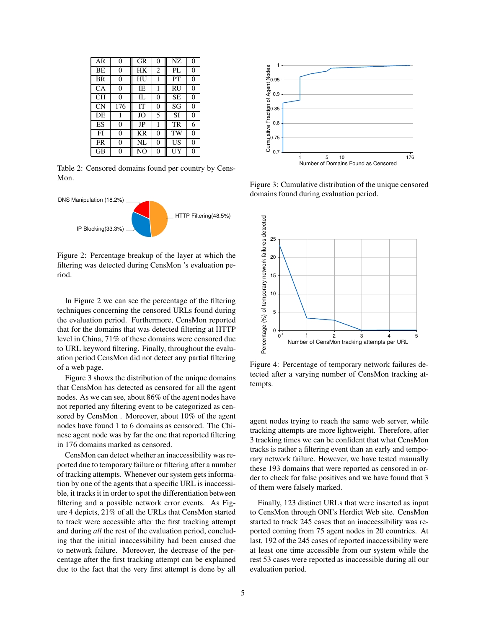| AR        | $\theta$ | GR | $\Omega$       | NZ        | $\Omega$ |
|-----------|----------|----|----------------|-----------|----------|
| BE        | 0        | HК | $\overline{2}$ | PL        | 0        |
| <b>BR</b> | 0        | HU | 1              | PT        | 0        |
| <b>CA</b> | 0        | IE | 1              | RU        | 0        |
| CН        | 0        | П. | 0              | <b>SE</b> | 0        |
| <b>CN</b> | 176      | IT | 0              | SG        | 0        |
| DE        | 1        | JO | 5              | SI        | 0        |
| ES        | 0        | JP | 1              | TR        | 6        |
| FI        | 0        | KR | 0              | TW        | 0        |
| FR        | 0        | NL | 0              | US        | 0        |
| GВ        | 0        | NО | 0              |           | 0        |

Table 2: Censored domains found per country by Cens-Mon.



Figure 2: Percentage breakup of the layer at which the filtering was detected during CensMon 's evaluation period.

In Figure 2 we can see the percentage of the filtering techniques concerning the censored URLs found during the evaluation period. Furthermore, CensMon reported that for the domains that was detected filtering at HTTP level in China, 71% of these domains were censored due to URL keyword filtering. Finally, throughout the evaluation period CensMon did not detect any partial filtering of a web page.

Figure 3 shows the distribution of the unique domains that CensMon has detected as censored for all the agent nodes. As we can see, about 86% of the agent nodes have not reported any filtering event to be categorized as censored by CensMon . Moreover, about 10% of the agent nodes have found 1 to 6 domains as censored. The Chinese agent node was by far the one that reported filtering in 176 domains marked as censored.

CensMon can detect whether an inaccessibility was reported due to temporary failure or filtering after a number of tracking attempts. Whenever our system gets information by one of the agents that a specific URL is inaccessible, it tracks it in order to spot the differentiation between filtering and a possible network error events. As Figure 4 depicts, 21% of all the URLs that CensMon started to track were accessible after the first tracking attempt and during *all* the rest of the evaluation period, concluding that the initial inaccessibility had been caused due to network failure. Moreover, the decrease of the percentage after the first tracking attempt can be explained due to the fact that the very first attempt is done by all



Figure 3: Cumulative distribution of the unique censored domains found during evaluation period.



Figure 4: Percentage of temporary network failures detected after a varying number of CensMon tracking attempts.

agent nodes trying to reach the same web server, while tracking attempts are more lightweight. Therefore, after 3 tracking times we can be confident that what CensMon tracks is rather a filtering event than an early and temporary network failure. However, we have tested manually these 193 domains that were reported as censored in order to check for false positives and we have found that 3 of them were falsely marked.

Finally, 123 distinct URLs that were inserted as input to CensMon through ONI's Herdict Web site. CensMon started to track 245 cases that an inaccessibility was reported coming from 75 agent nodes in 20 countries. At last, 192 of the 245 cases of reported inaccessibility were at least one time accessible from our system while the rest 53 cases were reported as inaccessible during all our evaluation period.